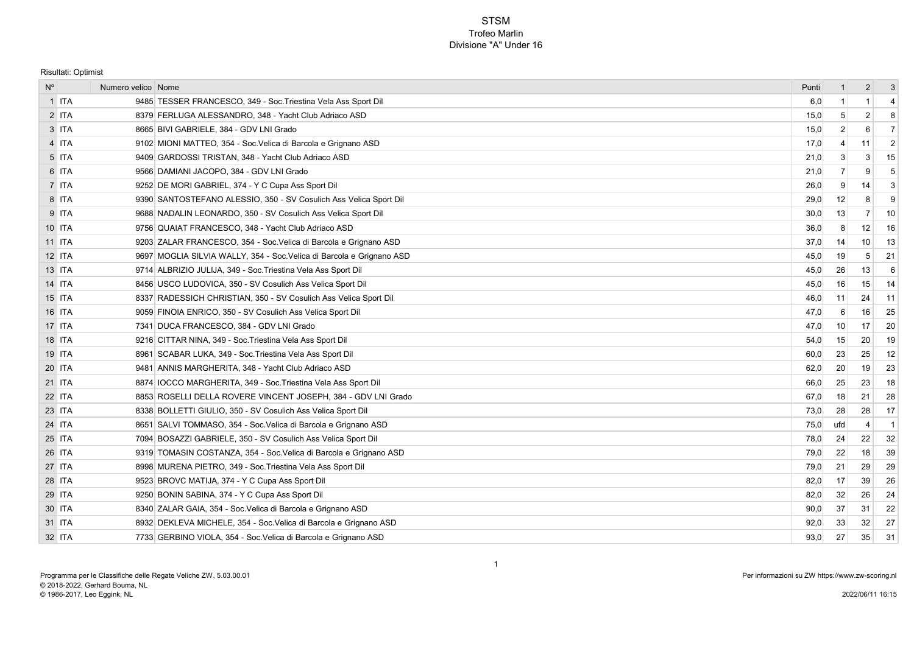## **STSM** Trofeo Marlin Divisione "A" Under 16

Risultati: Optimist

| $N^{\circ}$   | Numero velico Nome |                                                                       | Punti | $\mathbf{1}$   | $\overline{2}$ | $\mathbf{3}$   |
|---------------|--------------------|-----------------------------------------------------------------------|-------|----------------|----------------|----------------|
| $1$ ITA       |                    | 9485 TESSER FRANCESCO, 349 - Soc. Triestina Vela Ass Sport Dil        | 6,0   | -1             | 1              | $\overline{4}$ |
| $2$ ITA       |                    | 8379 FERLUGA ALESSANDRO, 348 - Yacht Club Adriaco ASD                 | 15,0  | 5              | $\overline{2}$ | 8              |
| $3$ ITA       |                    | 8665 BIVI GABRIELE, 384 - GDV LNI Grado                               | 15,0  | $\overline{2}$ | 6              | $\overline{7}$ |
| 4 ITA         |                    | 9102 MIONI MATTEO, 354 - Soc. Velica di Barcola e Grignano ASD        | 17,0  | 4              | 11             | $\overline{2}$ |
| 5 ITA         |                    | 9409 GARDOSSI TRISTAN, 348 - Yacht Club Adriaco ASD                   | 21,0  | 3              | 3              | 15             |
| 6 ITA         |                    | 9566 DAMIANI JACOPO, 384 - GDV LNI Grado                              | 21,0  | $\overline{7}$ | 9              | 5              |
| 7 ITA         |                    | 9252 DE MORI GABRIEL, 374 - Y C Cupa Ass Sport Dil                    | 26,0  | 9              | 14             | 3              |
| 8 ITA         |                    | 9390 SANTOSTEFANO ALESSIO, 350 - SV Cosulich Ass Velica Sport Dil     | 29,0  | 12             | 8              | 9              |
| $9$ ITA       |                    | 9688 NADALIN LEONARDO, 350 - SV Cosulich Ass Velica Sport Dil         | 30,0  | 13             | 7              | 10             |
| 10 ITA        |                    | 9756 QUAIAT FRANCESCO, 348 - Yacht Club Adriaco ASD                   | 36,0  | 8              | 12             | 16             |
| 11 ITA        |                    | 9203 ZALAR FRANCESCO, 354 - Soc. Velica di Barcola e Grignano ASD     | 37,0  | 14             | 10             | 13             |
| 12 ITA        |                    | 9697 MOGLIA SILVIA WALLY, 354 - Soc. Velica di Barcola e Grignano ASD | 45,0  | 19             | 5              | 21             |
| 13 ITA        |                    | 9714 ALBRIZIO JULIJA, 349 - Soc. Triestina Vela Ass Sport Dil         | 45,0  | 26             | 13             | 6              |
| 14 ITA        |                    | 8456 USCO LUDOVICA, 350 - SV Cosulich Ass Velica Sport Dil            | 45,0  | 16             | 15             | 14             |
| 15 ITA        |                    | 8337 RADESSICH CHRISTIAN, 350 - SV Cosulich Ass Velica Sport Dil      | 46,0  | 11             | 24             | 11             |
| 16 ITA        |                    | 9059 FINOIA ENRICO, 350 - SV Cosulich Ass Velica Sport Dil            | 47,0  | 6              | 16             | 25             |
| 17 ITA        |                    | 7341 DUCA FRANCESCO, 384 - GDV LNI Grado                              | 47,0  | 10             | 17             | 20             |
| 18 ITA        |                    | 9216 CITTAR NINA, 349 - Soc. Triestina Vela Ass Sport Dil             | 54,0  | 15             | 20             | 19             |
| <b>19 ITA</b> |                    | 8961 SCABAR LUKA, 349 - Soc. Triestina Vela Ass Sport Dil             | 60,0  | 23             | 25             | 12             |
| 20 ITA        |                    | 9481 ANNIS MARGHERITA, 348 - Yacht Club Adriaco ASD                   | 62,0  | 20             | 19             | 23             |
| 21 ITA        |                    | 8874 IOCCO MARGHERITA, 349 - Soc. Triestina Vela Ass Sport Dil        | 66,0  | 25             | 23             | 18             |
| 22 ITA        |                    | 8853 ROSELLI DELLA ROVERE VINCENT JOSEPH, 384 - GDV LNI Grado         | 67,0  | 18             | 21             | 28             |
| 23 ITA        |                    | 8338 BOLLETTI GIULIO, 350 - SV Cosulich Ass Velica Sport Dil          | 73,0  | 28             | 28             | 17             |
| 24 ITA        |                    | 8651 SALVI TOMMASO, 354 - Soc. Velica di Barcola e Grignano ASD       | 75,0  | ufd            | $\overline{4}$ | -1             |
| 25 ITA        |                    | 7094 BOSAZZI GABRIELE, 350 - SV Cosulich Ass Velica Sport Dil         | 78,0  | 24             | 22             | 32             |
| 26 ITA        |                    | 9319 TOMASIN COSTANZA, 354 - Soc. Velica di Barcola e Grignano ASD    | 79,0  | 22             | 18             | 39             |
| 27 ITA        |                    | 8998 MURENA PIETRO, 349 - Soc. Triestina Vela Ass Sport Dil           | 79,0  | 21             | 29             | 29             |
| 28 ITA        |                    | 9523 BROVC MATIJA, 374 - Y C Cupa Ass Sport Dil                       | 82,0  | 17             | 39             | 26             |
| 29 ITA        |                    | 9250 BONIN SABINA, 374 - Y C Cupa Ass Sport Dil                       | 82,0  | 32             | 26             | 24             |
| 30 ITA        |                    | 8340 ZALAR GAIA, 354 - Soc. Velica di Barcola e Grignano ASD          | 90,0  | 37             | 31             | 22             |
| 31 ITA        |                    | 8932 DEKLEVA MICHELE, 354 - Soc. Velica di Barcola e Grignano ASD     | 92,0  | 33             | 32             | 27             |
| 32 ITA        |                    | 7733 GERBINO VIOLA, 354 - Soc. Velica di Barcola e Grignano ASD       | 93,0  | 27             | 35             | 31             |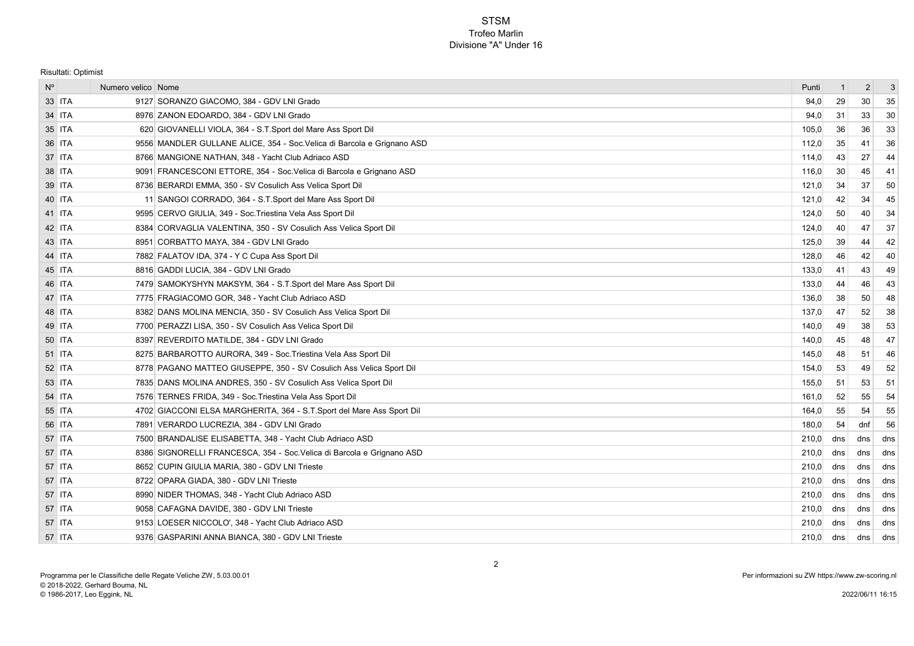## **STSM** Trofeo Marlin Divisione "A" Under 16

Risultati: Optimist

| $N^{\circ}$ |        | Numero velico Nome |                                                                        | Punti | -1  | $\overline{2}$ | -3  |
|-------------|--------|--------------------|------------------------------------------------------------------------|-------|-----|----------------|-----|
|             | 33 ITA |                    | 9127 SORANZO GIACOMO, 384 - GDV LNI Grado                              | 94.0  | 29  | 30             | 35  |
|             | 34 ITA |                    | 8976 ZANON EDOARDO, 384 - GDV LNI Grado                                | 94,0  | -31 | 33             | 30  |
|             | 35 ITA |                    | 620 GIOVANELLI VIOLA, 364 - S.T.Sport del Mare Ass Sport Dil           | 105,0 | 36  | 36             | 33  |
|             | 36 ITA |                    | 9556 MANDLER GULLANE ALICE, 354 - Soc.Velica di Barcola e Grignano ASD | 112,0 | 35  | 41             | 36  |
|             | 37 ITA |                    | 8766 MANGIONE NATHAN, 348 - Yacht Club Adriaco ASD                     | 114,0 | 43  | 27             | 44  |
|             | 38 ITA |                    | 9091 FRANCESCONI ETTORE, 354 - Soc. Velica di Barcola e Grignano ASD   | 116,0 | 30  | 45             | 41  |
|             | 39 ITA |                    | 8736 BERARDI EMMA, 350 - SV Cosulich Ass Velica Sport Dil              | 121,0 | 34  | 37             | 50  |
|             | 40 ITA |                    | 11 SANGOI CORRADO, 364 - S.T.Sport del Mare Ass Sport Dil              | 121,0 | 42  | 34             | 45  |
|             | 41 ITA |                    | 9595 CERVO GIULIA, 349 - Soc. Triestina Vela Ass Sport Dil             | 124,0 | 50  | 40             | 34  |
|             | 42 ITA |                    | 8384 CORVAGLIA VALENTINA, 350 - SV Cosulich Ass Velica Sport Dil       | 124,0 | 40  | 47             | 37  |
|             | 43 ITA |                    | 8951 CORBATTO MAYA, 384 - GDV LNI Grado                                | 125,0 | 39  | 44             | 42  |
|             | 44 ITA |                    | 7882 FALATOV IDA, 374 - Y C Cupa Ass Sport Dil                         | 128,0 | 46  | 42             | 40  |
|             | 45 ITA |                    | 8816 GADDI LUCIA, 384 - GDV LNI Grado                                  | 133,0 | 41  | 43             | 49  |
|             | 46 ITA |                    | 7479 SAMOKYSHYN MAKSYM, 364 - S.T.Sport del Mare Ass Sport Dil         | 133,0 | 44  | 46             | 43  |
|             | 47 ITA |                    | 7775 FRAGIACOMO GOR, 348 - Yacht Club Adriaco ASD                      | 136,0 | 38  | 50             | 48  |
|             | 48 ITA |                    | 8382 DANS MOLINA MENCIA, 350 - SV Cosulich Ass Velica Sport Dil        | 137,0 | 47  | 52             | 38  |
|             | 49 ITA |                    | 7700 PERAZZI LISA, 350 - SV Cosulich Ass Velica Sport Dil              | 140,0 | 49  | 38             | 53  |
|             | 50 ITA |                    | 8397 REVERDITO MATILDE, 384 - GDV LNI Grado                            | 140,0 | 45  | 48             | 47  |
|             | 51 ITA |                    | 8275 BARBAROTTO AURORA, 349 - Soc. Triestina Vela Ass Sport Dil        | 145,0 | 48  | 51             | 46  |
|             | 52 ITA |                    | 8778 PAGANO MATTEO GIUSEPPE, 350 - SV Cosulich Ass Velica Sport Dil    | 154,0 | 53  | 49             | 52  |
|             | 53 ITA |                    | 7835 DANS MOLINA ANDRES, 350 - SV Cosulich Ass Velica Sport Dil        | 155,0 | 51  | 53             | 51  |
|             | 54 ITA |                    | 7576 TERNES FRIDA, 349 - Soc. Triestina Vela Ass Sport Dil             | 161,0 | 52  | 55             | 54  |
|             | 55 ITA |                    | 4702 GIACCONI ELSA MARGHERITA, 364 - S.T.Sport del Mare Ass Sport Dil  | 164,0 | 55  | 54             | 55  |
|             | 56 ITA |                    | 7891 VERARDO LUCREZIA, 384 - GDV LNI Grado                             | 180,0 | 54  | dnf            | 56  |
|             | 57 ITA |                    | 7500 BRANDALISE ELISABETTA, 348 - Yacht Club Adriaco ASD               | 210,0 | dns | dns            | dns |
|             | 57 ITA |                    | 8386 SIGNORELLI FRANCESCA, 354 - Soc. Velica di Barcola e Grignano ASD | 210,0 | dns | dns            | dns |
|             | 57 ITA |                    | 8652 CUPIN GIULIA MARIA, 380 - GDV LNI Trieste                         | 210,0 | dns | dns            | dns |
|             | 57 ITA |                    | 8722 OPARA GIADA, 380 - GDV LNI Trieste                                | 210,0 | dns | dns            | dns |
|             | 57 ITA |                    | 8990 NIDER THOMAS, 348 - Yacht Club Adriaco ASD                        | 210,0 | dns | dns            | dns |
|             | 57 ITA |                    | 9058 CAFAGNA DAVIDE, 380 - GDV LNI Trieste                             | 210,0 | dns | dns            | dns |
|             | 57 ITA |                    | 9153 LOESER NICCOLO', 348 - Yacht Club Adriaco ASD                     | 210,0 | dns | dns            | dns |
|             | 57 ITA |                    | 9376 GASPARINI ANNA BIANCA, 380 - GDV LNI Trieste                      | 210,0 | dns | dns            | dns |